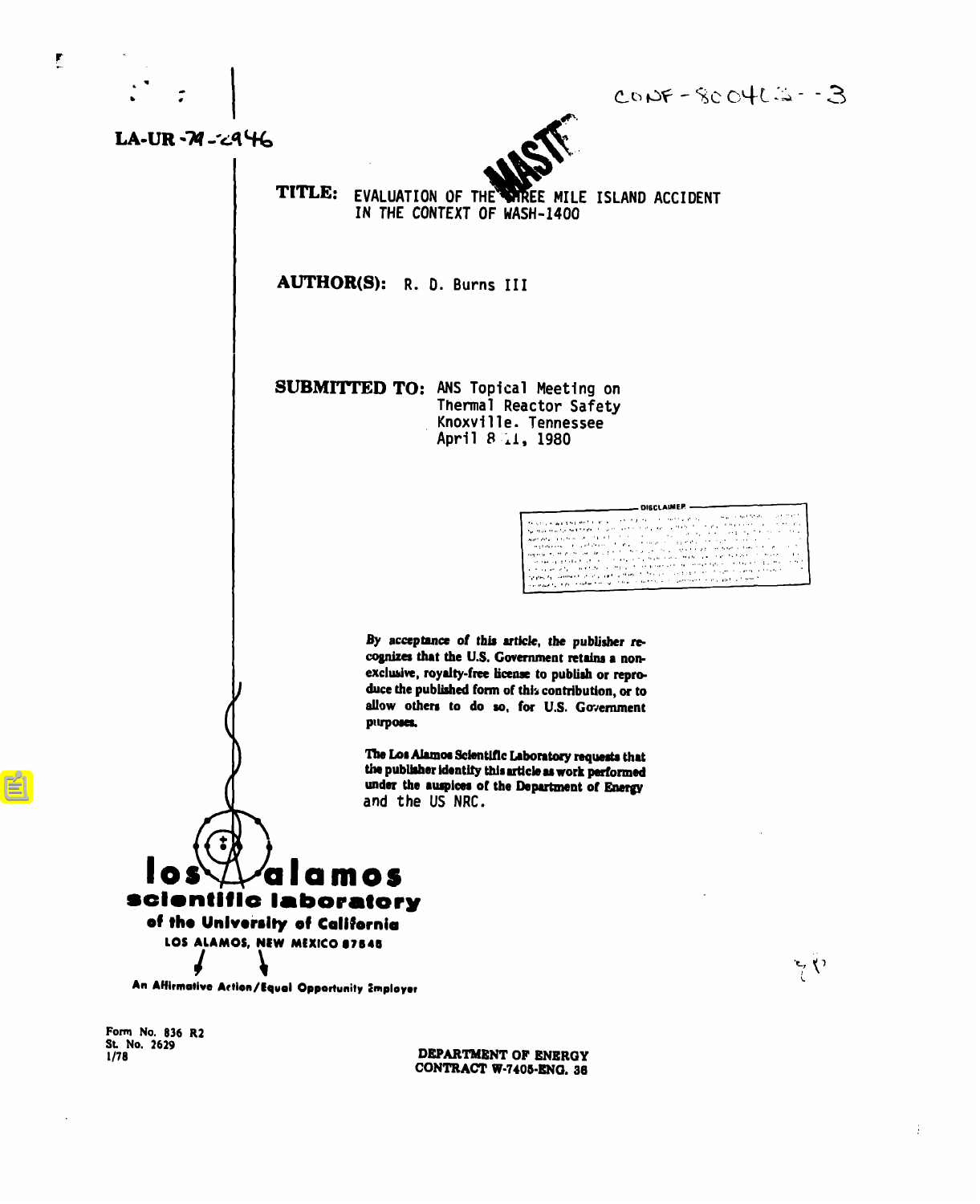

 $LA-UR - M - c446$ 

 $\mathbf{r}$ 

 $COP = 8004C = -3$ 

**DISCLAIMEP** 

a a shekara<br>Matukio

and a property of the second second

an tanàna ao amin'ny faritr'i Nord-Amerika.<br>Ny faritr'ora dia GMT+1.

**Service Advised** 

 $\sum_{i} \sum_{j}$ 

 $\sim$ 



TITLE: EVALUATION OF THE WIREE MILE ISLAND ACCIDENT IN THE CONTEXT OF WASH-1400

AUTHOR(S): R. D. Burns III

**SUBMITTED TO: ANS Topical Meeting on** Thermal Reactor Safety Knoxville. Tennessee April 8 11, 1980

> By acceptance of this article, the publisher recognizes that the U.S. Government retains a nonexclusive, royalty-free license to publish or reproduce the published form of this contribution, or to allow others to do so, for U.S. Government purposes.

The Los Alamos Scientific Laboratory requests that the publisher identify this article as work performed under the auspices of the Department of Energy and the US NRC.

alamos ntific laboratory of the University of California LOS ALAMOS, NEW MEXICO 87545

An Affirmative Action/Equal Opportunity Employer

Form No. 836 R2 St. No. 2629

DEPARTMENT OF ENERGY CONTRACT W-7405-ENG. 36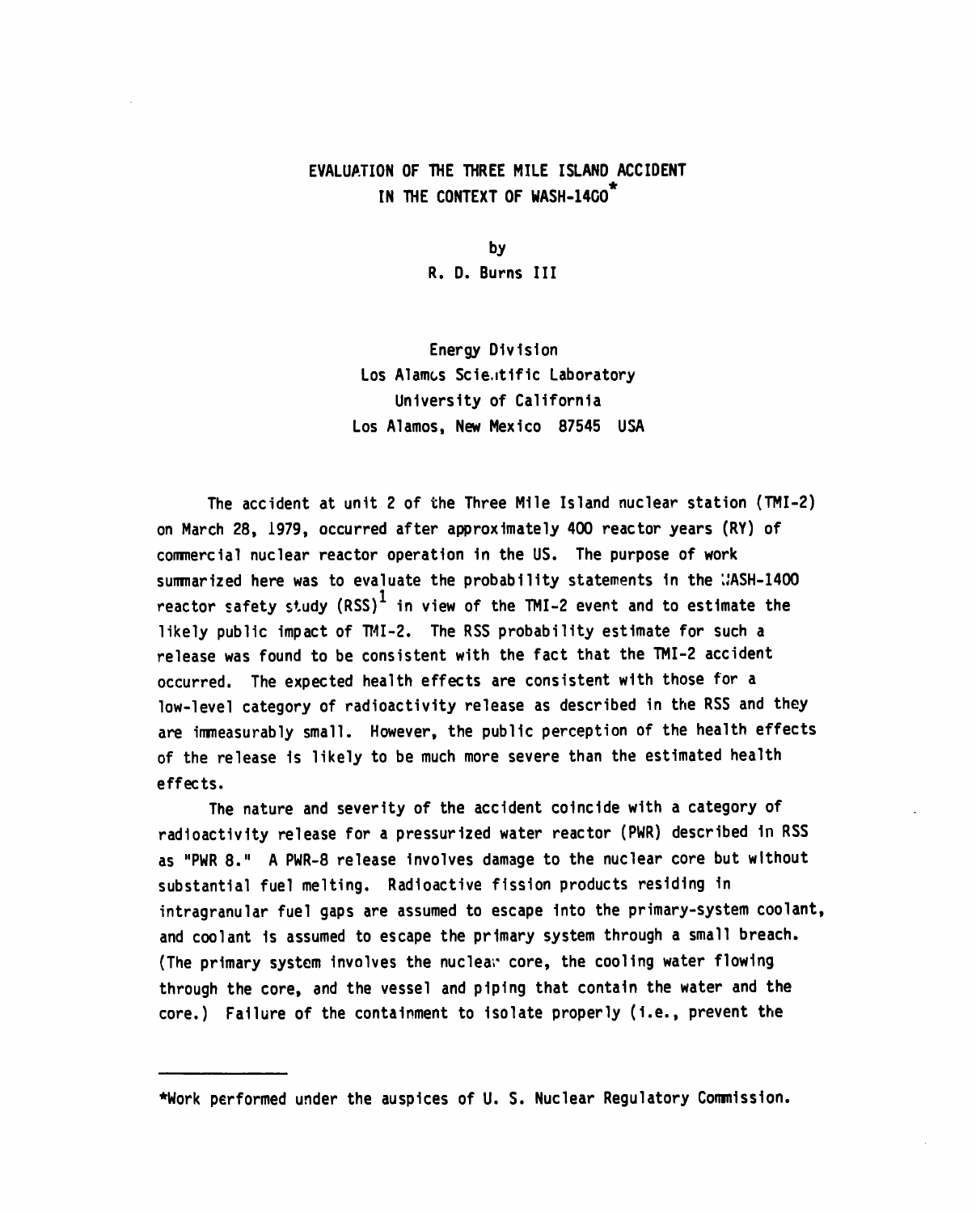## EVALUATION OF THE THREE MILE ISLAND ACCIDENT **IN THE CONTEXT OF HASH-14GO\***

**by R. D. Burns** III

**Energy Division Los Alamcs Scie,ltificLaboratory University of California Los Alamos, New Mexico 87545 USA**

**The accident at unit 2 of the Three Mile Island nuclear station (TMI-2) on March 28, 1979, occurred after approximately 400 reactor years (RY) of** commercial nuclear reactor operation in the US. The purpose of work summarized here was to evaluate the probability statements in the WASH-1400 reactor safety study (RSS)<sup>1</sup> in view of the TMI-2 event and to estimate the **likely public impact of TM1-2. The RSS probability estimate for such a release was found to be consistent with the fact that the TMI-2 accident occurred. The expected health effects are consistent with those for a low-level category of radioactivity release as described in the RSS and they are immeasurably small. However, the public perception of the health effects of the release is likely to be much more severe than the estimated health effects.**

**The nature and severity of the accident coincide with a category of radioactivity release for a pressurized water reactor (PWR) described in RSS as "PWR 8." A PWR-8 release involves damage to the nuclear core but without substantial fuel melting. Radioactive fission products residing in intragranular fuel gaps are assumed to escape into the primary-system coolant, and coolant is assumed to escape the primary system through a small breach. (The primary system involves the nucleai"core, the cooling water flowing through the core, and the vessel and piping that contain the water and the core.) Failure of the containment to isolate properly (i.e., prevent the**

**<sup>\*</sup>Work performed under the auspices of U. S. Nuclear Regulatory Commission.**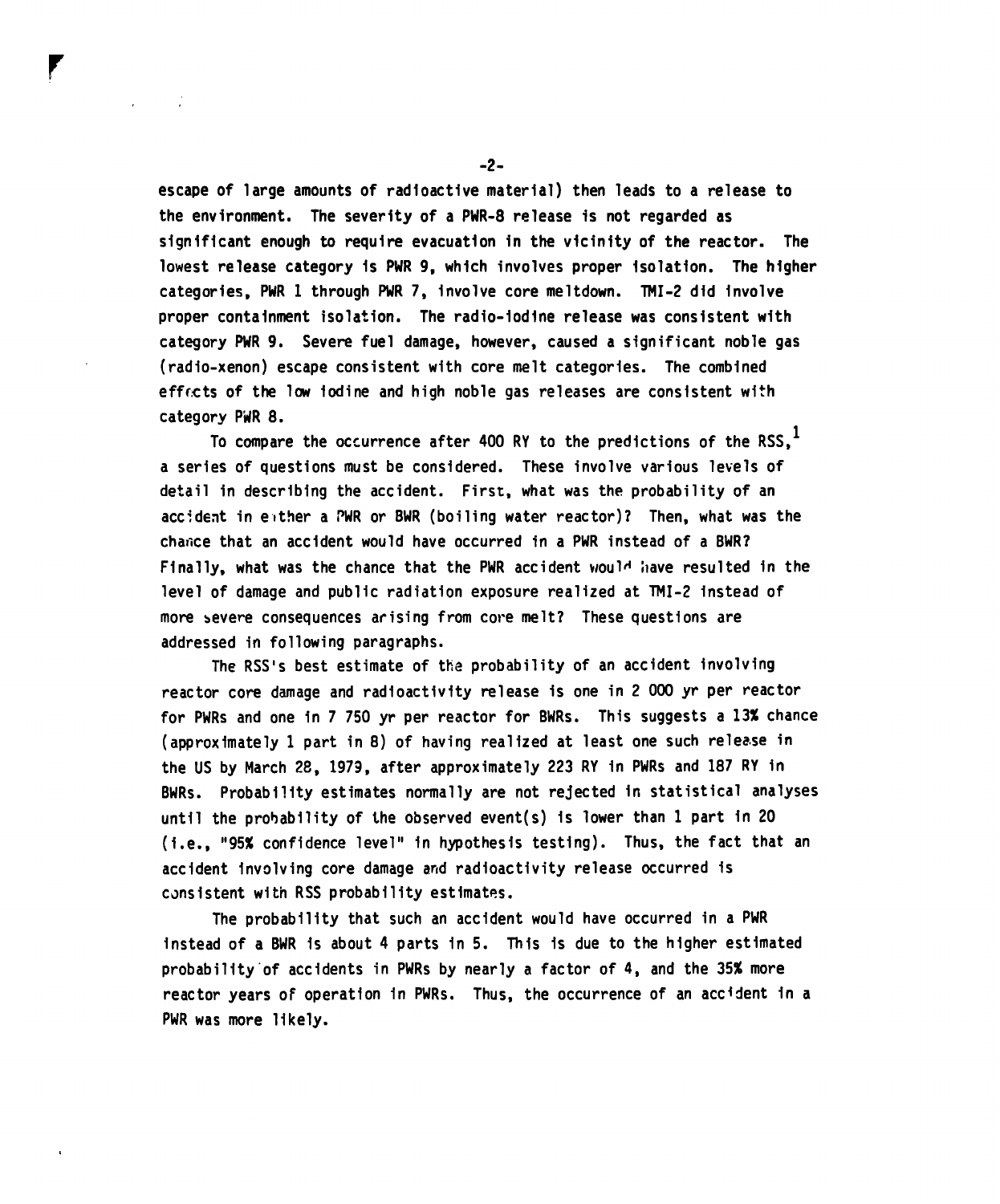**escape of large amounts of radioactive material) then leads to a release to the environment. The severity of a PWR-8 release is not regarded as significant enough to require evacuation in the vicinity of the reactor. The lowest release category is PWR 9, which involves proper isolation. The higher** categories, PWR 1 through PWR 7, involve core meltdown. TMI-2 did involve **proper containment isolation. The radio-iodine release was consistent with category PWR 9. Severe fuel damage, however, caused a significant noble gas (radio-xenon) escape consistent with core melt categories. The combined** efficts of the low iodine and high noble gas releases are consistent with category PWR 8.

**To compare the occurrence after 400 RY to the predictions of the RSS,l a series of questions must be considered. These involve various levels of detail in describing the accident. First, what was the probability of an accident in either a ~PWRor BWR (boiling water reactor)? Then, what was the** chance that an accident would have occurred in a PWR instead of a BWR? **Finally, what was the chance that the PWR accident would have resulted in the level of damage and public radiation exposure realized at TMI-2 instead of more severe consequences arising from core melt? These questions are addressed in following paragraphs.**

**The RSS'S best estimate of the probability of an accident involving reactor core damage and radioactivity release is one in 2 000 yr per reactor for PWRS and one in 7 750 yr per reactor for BWRS. This suggests a 13% chance** (approximately 1 part in 8) of having realized at least one such release in **the US by March 28, 1979, after approximately 223 RY in PWRS and 187 RY in BWRS. Probability estimates normally are not rejected in statistical analyses until the probability of the observed event(s) is lower than 1 part in 20 (i.e., "95% confidence level" in hypothesis testing). Thus, the fact that an accident involving core damage and radioactivity release occurred is** consistent with RSS probability estimates.

**The probability that such an accident would have occurred in a PWR instead of a BWR is about 4 parts in 5. This is due to the higher estimated probability'of accidents in PWRS by nearly a factor of 4, and the 35% more reactor years of operation in PWRS. Thus, the occurrence of an accfdent in a PWRwas more likely.**

**-2-**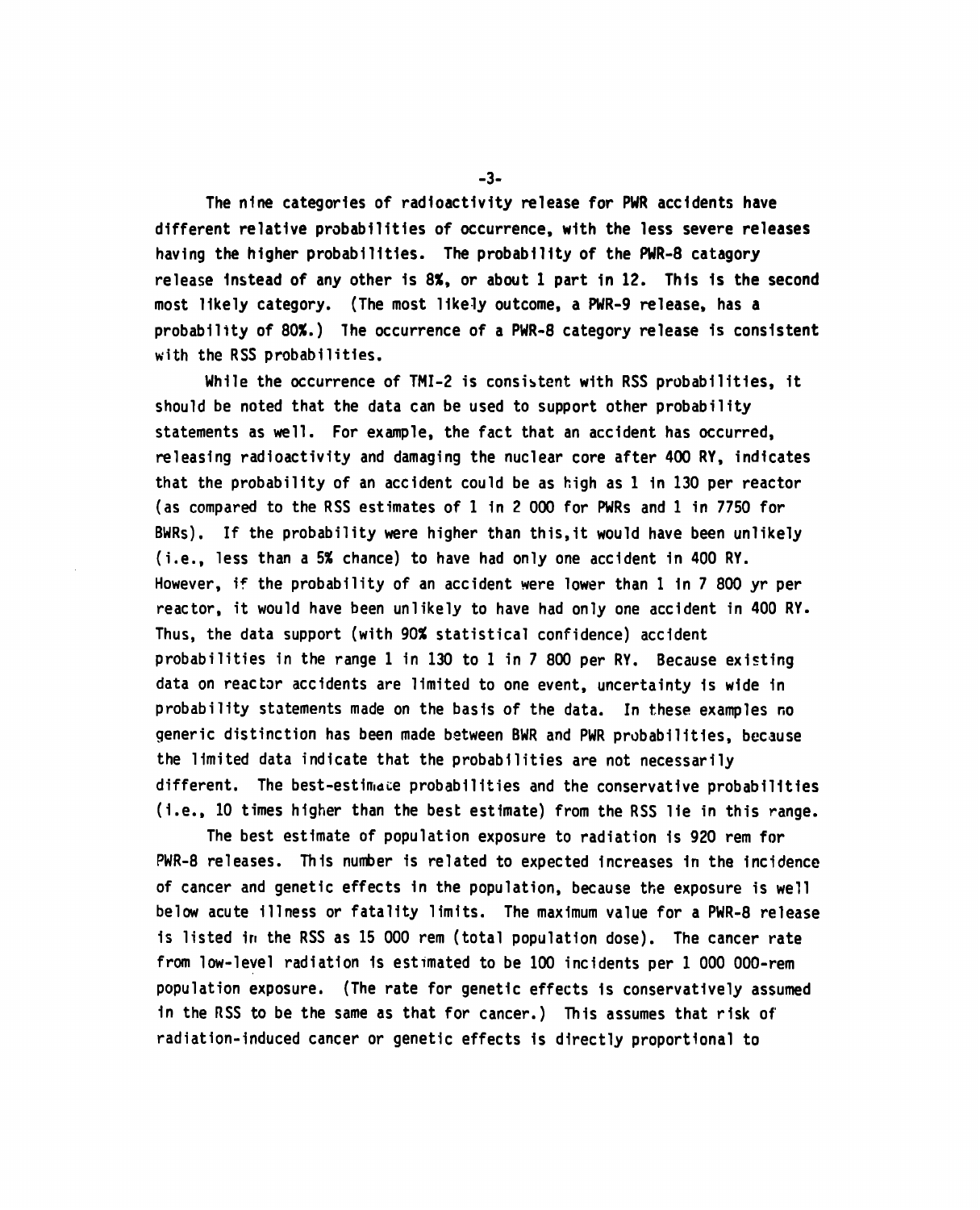**The nine categories of radioactivity release for PWR accidents have different relative probabilities of occurrence, with the less severe releases having the higher probabilities. The probability of the PWR-8 catagory release instead of any other is 8%, or about 1 part in 12. This is the second most likely category. (The most likely outcome, aPWR-9 release, has a** probability of 80%.) The occurrence of a PWR-8 category release is consistent **with the RSS probabilities.**

**While the occurrence of TMI-2 is consistent with RSS probabilities, it should be noted that the data can be used to support other probability statements as well. For example, the fact that an accident has occurred, releasing radioactivity and damaging the nuclear core after 400 RY, indicates that the probability of an accident could be as high as 1 in 130 per reactor (as compared to the RSS estimates of 1 in 2000 for PWRS and 1 in 7750 for BWRS). If the probability were higher than this,it would have been unlikely (i.e., less than a 5% chance) to have had only one accident in 400 RY. However, if the probability of an accident were lower than 1 in 7 800 yr per reactor, it would have been unlikely to have had only one accident in 400 RY. Thus, the data support (with 90% statistical confidence) accident probabilities in the range 1 in 130 to 1 in 7 800 per RY. Because existing data on reactor accidents are limited to one event, uncertainty is wide in probability statements made on the basis of the data. In these examples no generic distinction has been made between BWR and PWR probabilities, because the limited data indicate that the probabilities are not necessarily** different. The best-estimate probabilities and the conservative probabilities **(i.e., 10 times higher than the best estimate) from theRSS lie in this range.**

**The best estimate of population exposure to radiation is 920 rem for** PWR-8 releases. This number is related to expected increases in the incidence **of cancer and genetic effects in the population, because the exposure is well below acute illness or fatality limits. The maximum value for a PWR-8 release** is listed in the RSS as 15 000 rem (total population dose). The cancer rate **from low-level radiation is estimated to be 100 incidents per 1 000 000-rem population exposure. (The rate for genetic effects is conservatively assumed** in the RSS to be the same as that for cancer.) This assumes that risk of **radiation-inducedcancer or genetic effects is directly proportional to**

**-3-**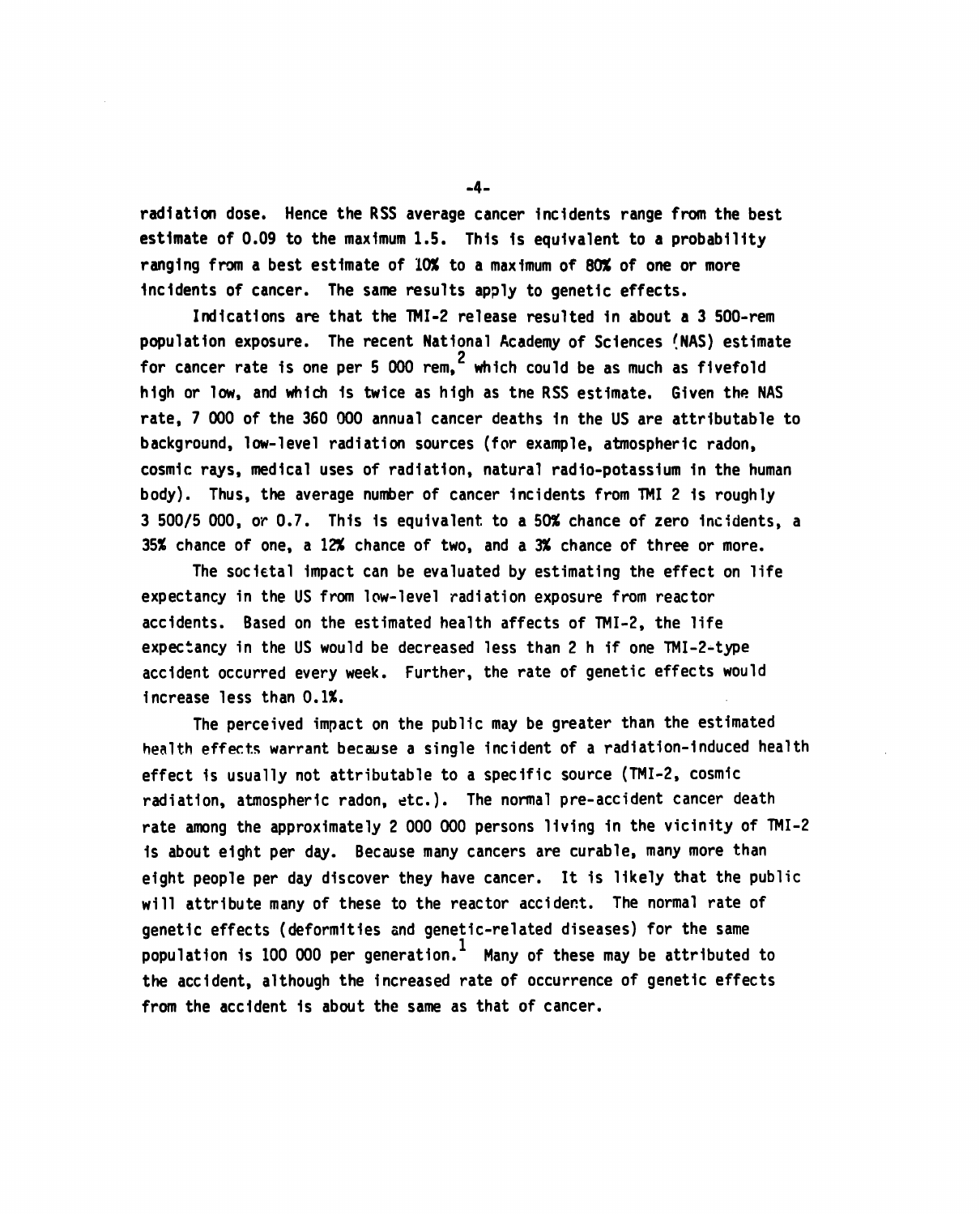**radiation dose. Hence the RSS average cancer incidents range from the best estimate of 0.09 to the maximum 1.5. This is equivalent to a probability ranging from a best estimate of 10% to a maximum of 60%** of one **or more** incidents of cancer. The same results apply to genetic effects.

**Indications are that the TMI-2 release resulted in about a 3 SoO-rem** population exposure. The recent National Academy of Sciences (NAS) estimate **for cancer rate is one per 5 000 rem,2 which could be as much as fivefold high or low, and which is twice as high as theRSS estimate. Given the NAS rate, 7 000 of the 360 000 annual cancer deaths in the US are attributable to background, low-level radiation sources (for example, atmospheric radon, cosmic rays, medical uses of radiation, natural radio-potassium in the human** body). Thus, the average number of cancer incidents from TMI 2 is roughly **3 500/5000,** *orO.7.* **This is equivalent to a 50% chance of zero incidents, a 35% chance of one, a 12% chance of two, and a 3% chance of three or more.**

**The societal impact can be evaluated by estimating the effect on life expectancy in the US from low-level radiation exposure from reactor accidents. Based on the estimated health affects of TMI-2, the life expectancy in the US would be decreased less than 2 h if one TMI-2-type accident occurred every week. Further, the rate of genetic effects would increase less than O.1%.**

**The perceived impact on the public may be greater than the estimated health effects warrant because a single incident of a radiation-induced health effect is usually not attributable to a specific source (TMI-2, cosmic radiation, atmospheric radon, etc.). The normal pre-accident cancer death rate amng the approximately 2 000 000 persons living in the vicinity of TMI-2 is about eight per day. Because many cancers are curable, many more than eight people per day discover they have cancer. It is likely that the public will attribute many of these to the reactor accident. The normal rate of genetic effects (deformities and genetic-related diseases) for the same** population is 100 000 per generation.<sup>1</sup> Many of these may be attributed to **the accident, although the increased rate of occurrence of genetic effects from the accident is abwt the same as that of cancer.**

**-4-**